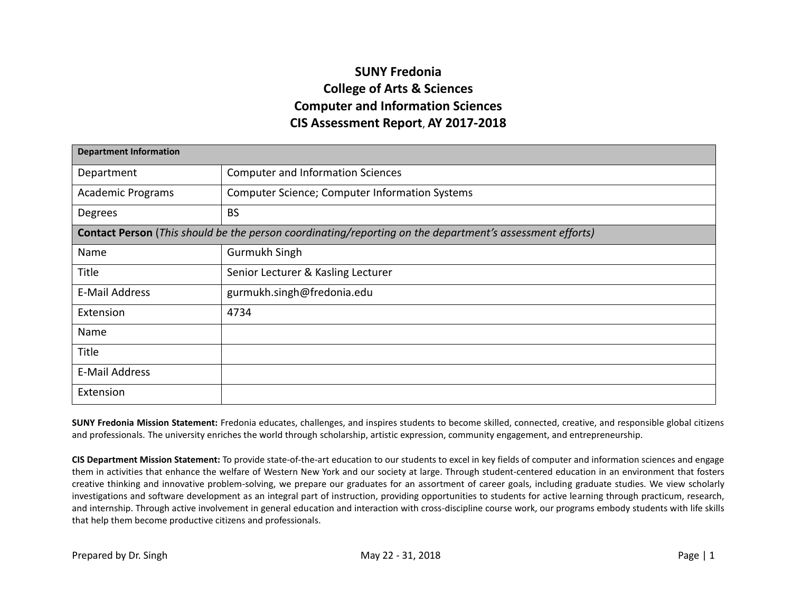## **SUNY Fredonia College of Arts & Sciences Computer and Information Sciences CIS Assessment Report**, **AY 2017-2018**

| <b>Department Information</b> |                                                                                                                 |  |  |  |  |  |  |  |
|-------------------------------|-----------------------------------------------------------------------------------------------------------------|--|--|--|--|--|--|--|
| Department                    | <b>Computer and Information Sciences</b>                                                                        |  |  |  |  |  |  |  |
| <b>Academic Programs</b>      | <b>Computer Science; Computer Information Systems</b>                                                           |  |  |  |  |  |  |  |
| Degrees                       | <b>BS</b>                                                                                                       |  |  |  |  |  |  |  |
|                               | <b>Contact Person</b> (This should be the person coordinating/reporting on the department's assessment efforts) |  |  |  |  |  |  |  |
| Name                          | Gurmukh Singh                                                                                                   |  |  |  |  |  |  |  |
| Title                         | Senior Lecturer & Kasling Lecturer                                                                              |  |  |  |  |  |  |  |
| E-Mail Address                | gurmukh.singh@fredonia.edu                                                                                      |  |  |  |  |  |  |  |
| Extension                     | 4734                                                                                                            |  |  |  |  |  |  |  |
| Name                          |                                                                                                                 |  |  |  |  |  |  |  |
| Title                         |                                                                                                                 |  |  |  |  |  |  |  |
| E-Mail Address                |                                                                                                                 |  |  |  |  |  |  |  |
| Extension                     |                                                                                                                 |  |  |  |  |  |  |  |

**SUNY Fredonia Mission Statement:** Fredonia educates, challenges, and inspires students to become skilled, connected, creative, and responsible global citizens and professionals. The university enriches the world through scholarship, artistic expression, community engagement, and entrepreneurship.

**CIS Department Mission Statement:** To provide state-of-the-art education to our students to excel in key fields of computer and information sciences and engage them in activities that enhance the welfare of Western New York and our society at large. Through student-centered education in an environment that fosters creative thinking and innovative problem-solving, we prepare our graduates for an assortment of career goals, including graduate studies. We view scholarly investigations and software development as an integral part of instruction, providing opportunities to students for active learning through practicum, research, and internship. Through active involvement in general education and interaction with cross-discipline course work, our programs embody students with life skills that help them become productive citizens and professionals.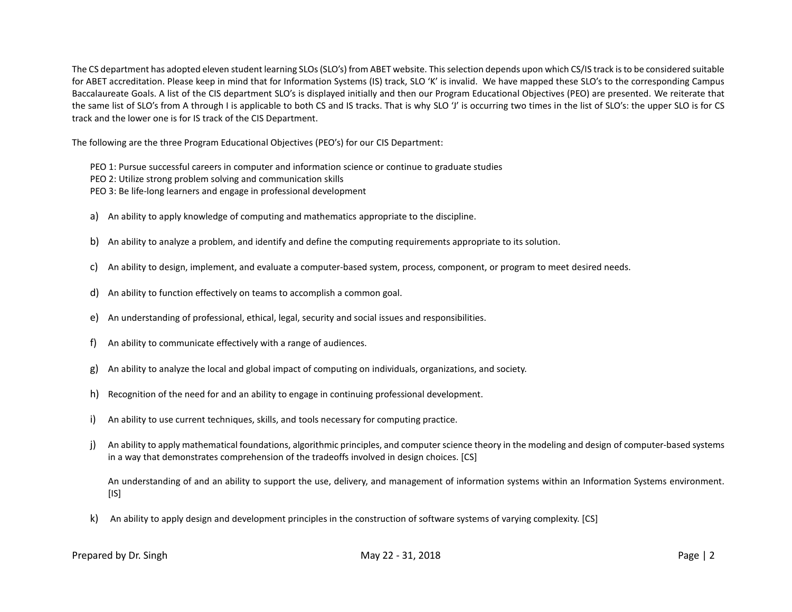The CS department has adopted eleven student learning SLOs (SLO's) from ABET website. Thisselection depends upon which CS/IS track is to be considered suitable for ABET accreditation. Please keep in mind that for Information Systems (IS) track, SLO 'K' is invalid. We have mapped these SLO's to the corresponding Campus Baccalaureate Goals. A list of the CIS department SLO's is displayed initially and then our Program Educational Objectives (PEO) are presented. We reiterate that the same list of SLO's from A through I is applicable to both CS and IS tracks. That is why SLO 'J' is occurring two times in the list of SLO's: the upper SLO is for CS track and the lower one is for IS track of the CIS Department.

The following are the three Program Educational Objectives (PEO's) for our CIS Department:

- PEO 1: Pursue successful careers in computer and information science or continue to graduate studies
- PEO 2: Utilize strong problem solving and communication skills
- PEO 3: Be life-long learners and engage in professional development
- a) An ability to apply knowledge of computing and mathematics appropriate to the discipline.
- b) An ability to analyze a problem, and identify and define the computing requirements appropriate to its solution.
- c) An ability to design, implement, and evaluate a computer-based system, process, component, or program to meet desired needs.
- d) An ability to function effectively on teams to accomplish a common goal.
- e) An understanding of professional, ethical, legal, security and social issues and responsibilities.
- f) An ability to communicate effectively with a range of audiences.
- g) An ability to analyze the local and global impact of computing on individuals, organizations, and society.
- h) Recognition of the need for and an ability to engage in continuing professional development.
- i) An ability to use current techniques, skills, and tools necessary for computing practice.
- j) An ability to apply mathematical foundations, algorithmic principles, and computer science theory in the modeling and design of computer-based systems in a way that demonstrates comprehension of the tradeoffs involved in design choices. [CS]

An understanding of and an ability to support the use, delivery, and management of information systems within an Information Systems environment.  $[IS]$ 

k) An ability to apply design and development principles in the construction of software systems of varying complexity. [CS]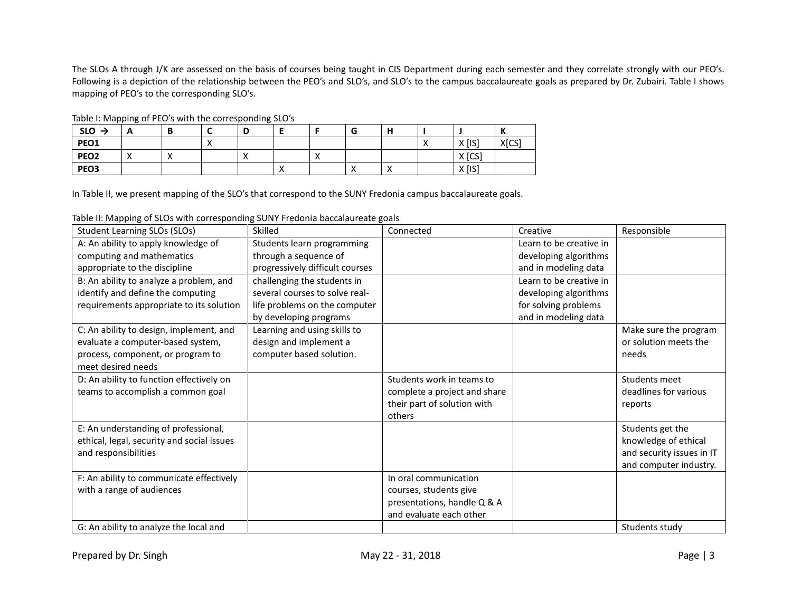The SLOs A through J/K are assessed on the basis of courses being taught in CIS Department during each semester and they correlate strongly with our PEO's. Following is a depiction of the relationship between the PEO's and SLO's, and SLO's to the campus baccalaureate goals as prepared by Dr. Zubairi. Table I shows mapping of PEO's to the corresponding SLO's.

| . 0<br>$SLO \rightarrow$ | -       | D | - | B<br>◡ |            |            | u                        |            |          | <br>- |
|--------------------------|---------|---|---|--------|------------|------------|--------------------------|------------|----------|-------|
| PEO1                     |         |   | ↗ |        |            |            |                          |            | $X$ [IS] | X[CS] |
| PEO <sub>2</sub>         | $\cdot$ |   |   |        |            | $\sqrt{ }$ |                          |            | X [CS]   |       |
| PEO <sub>3</sub>         |         |   |   |        | $\sqrt{ }$ |            | $\overline{\phantom{a}}$ | $\sqrt{ }$ | $X$ [IS] |       |

Table I: Mapping of PEO's with the corresponding SLO's

In Table II, we present mapping of the SLO's that correspond to the SUNY Fredonia campus baccalaureate goals.

Table II: Mapping of SLOs with corresponding SUNY Fredonia baccalaureate goals

| Student Learning SLOs (SLOs)               | Skilled                         | Connected                    | Creative                | Responsible               |
|--------------------------------------------|---------------------------------|------------------------------|-------------------------|---------------------------|
| A: An ability to apply knowledge of        | Students learn programming      |                              | Learn to be creative in |                           |
| computing and mathematics                  | through a sequence of           |                              | developing algorithms   |                           |
| appropriate to the discipline              | progressively difficult courses |                              | and in modeling data    |                           |
| B: An ability to analyze a problem, and    | challenging the students in     |                              | Learn to be creative in |                           |
| identify and define the computing          | several courses to solve real-  |                              | developing algorithms   |                           |
| requirements appropriate to its solution   | life problems on the computer   |                              | for solving problems    |                           |
|                                            | by developing programs          |                              | and in modeling data    |                           |
| C: An ability to design, implement, and    | Learning and using skills to    |                              |                         | Make sure the program     |
| evaluate a computer-based system,          | design and implement a          |                              |                         | or solution meets the     |
| process, component, or program to          | computer based solution.        |                              |                         | needs                     |
| meet desired needs                         |                                 |                              |                         |                           |
| D: An ability to function effectively on   |                                 | Students work in teams to    |                         | Students meet             |
| teams to accomplish a common goal          |                                 | complete a project and share |                         | deadlines for various     |
|                                            |                                 | their part of solution with  |                         | reports                   |
|                                            |                                 | others                       |                         |                           |
| E: An understanding of professional,       |                                 |                              |                         | Students get the          |
| ethical, legal, security and social issues |                                 |                              |                         | knowledge of ethical      |
| and responsibilities                       |                                 |                              |                         | and security issues in IT |
|                                            |                                 |                              |                         | and computer industry.    |
| F: An ability to communicate effectively   |                                 | In oral communication        |                         |                           |
| with a range of audiences                  |                                 | courses, students give       |                         |                           |
|                                            |                                 | presentations, handle Q & A  |                         |                           |
|                                            |                                 | and evaluate each other      |                         |                           |
| G: An ability to analyze the local and     |                                 |                              |                         | Students study            |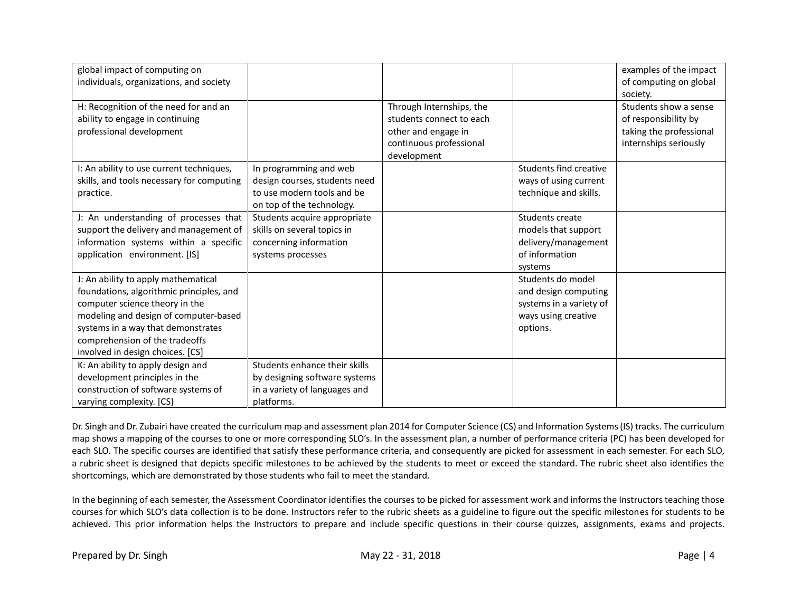| global impact of computing on<br>individuals, organizations, and society                                                                                                                                                                                               |                                                                                                                    |                                                                                                                       |                                                                                                         | examples of the impact<br>of computing on global<br>society.                                      |
|------------------------------------------------------------------------------------------------------------------------------------------------------------------------------------------------------------------------------------------------------------------------|--------------------------------------------------------------------------------------------------------------------|-----------------------------------------------------------------------------------------------------------------------|---------------------------------------------------------------------------------------------------------|---------------------------------------------------------------------------------------------------|
| H: Recognition of the need for and an<br>ability to engage in continuing<br>professional development                                                                                                                                                                   |                                                                                                                    | Through Internships, the<br>students connect to each<br>other and engage in<br>continuous professional<br>development |                                                                                                         | Students show a sense<br>of responsibility by<br>taking the professional<br>internships seriously |
| I: An ability to use current techniques,<br>skills, and tools necessary for computing<br>practice.                                                                                                                                                                     | In programming and web<br>design courses, students need<br>to use modern tools and be<br>on top of the technology. |                                                                                                                       | <b>Students find creative</b><br>ways of using current<br>technique and skills.                         |                                                                                                   |
| J: An understanding of processes that<br>support the delivery and management of<br>information systems within a specific<br>application environment. [IS]                                                                                                              | Students acquire appropriate<br>skills on several topics in<br>concerning information<br>systems processes         |                                                                                                                       | Students create<br>models that support<br>delivery/management<br>of information<br>systems              |                                                                                                   |
| J: An ability to apply mathematical<br>foundations, algorithmic principles, and<br>computer science theory in the<br>modeling and design of computer-based<br>systems in a way that demonstrates<br>comprehension of the tradeoffs<br>involved in design choices. [CS] |                                                                                                                    |                                                                                                                       | Students do model<br>and design computing<br>systems in a variety of<br>ways using creative<br>options. |                                                                                                   |
| K: An ability to apply design and<br>development principles in the<br>construction of software systems of<br>varying complexity. [CS}                                                                                                                                  | Students enhance their skills<br>by designing software systems<br>in a variety of languages and<br>platforms.      |                                                                                                                       |                                                                                                         |                                                                                                   |

Dr. Singh and Dr. Zubairi have created the curriculum map and assessment plan 2014 for Computer Science (CS) and Information Systems (IS) tracks. The curriculum map shows a mapping of the courses to one or more corresponding SLO's. In the assessment plan, a number of performance criteria (PC) has been developed for each SLO. The specific courses are identified that satisfy these performance criteria, and consequently are picked for assessment in each semester. For each SLO, a rubric sheet is designed that depicts specific milestones to be achieved by the students to meet or exceed the standard. The rubric sheet also identifies the shortcomings, which are demonstrated by those students who fail to meet the standard.

In the beginning of each semester, the Assessment Coordinator identifies the courses to be picked for assessment work and informs the Instructors teaching those courses for which SLO's data collection is to be done. Instructors refer to the rubric sheets as a guideline to figure out the specific milestones for students to be achieved. This prior information helps the Instructors to prepare and include specific questions in their course quizzes, assignments, exams and projects.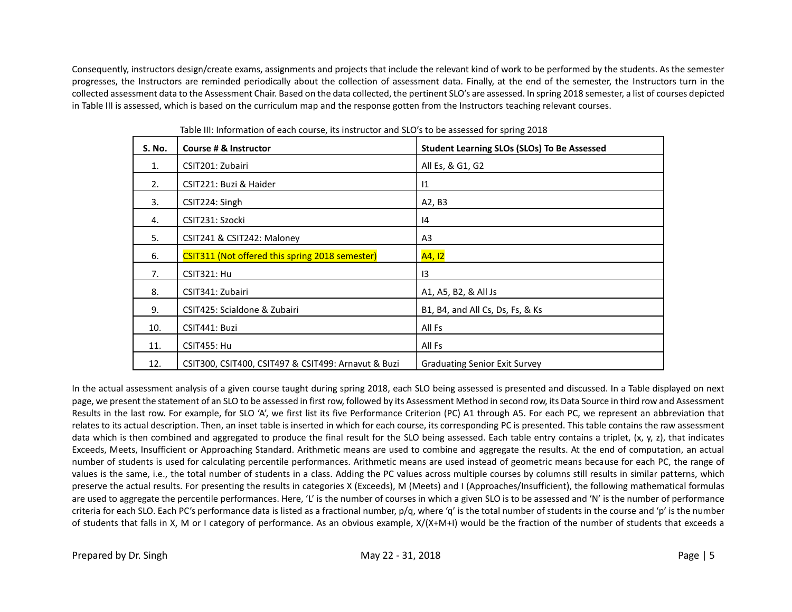Consequently, instructors design/create exams, assignments and projects that include the relevant kind of work to be performed by the students. As the semester progresses, the Instructors are reminded periodically about the collection of assessment data. Finally, at the end of the semester, the Instructors turn in the collected assessment data to the Assessment Chair. Based on the data collected, the pertinent SLO's are assessed. In spring 2018 semester, a list of courses depicted in Table III is assessed, which is based on the curriculum map and the response gotten from the Instructors teaching relevant courses.

| <b>S. No.</b>  | Course # & Instructor                               | <b>Student Learning SLOs (SLOs) To Be Assessed</b> |
|----------------|-----------------------------------------------------|----------------------------------------------------|
| $\mathbf{1}$ . | CSIT201: Zubairi                                    | All Es, & G1, G2                                   |
| 2.             | CSIT221: Buzi & Haider                              | $\mathsf{I}1$                                      |
| 3.             | CSIT224: Singh                                      | A2, B3                                             |
| 4.             | CSIT231: Szocki                                     | 14                                                 |
| 5.             | CSIT241 & CSIT242: Maloney                          | A3                                                 |
| 6.             | CSIT311 (Not offered this spring 2018 semester)     | A4, 12                                             |
| 7.             | <b>CSIT321: Hu</b>                                  | $\overline{13}$                                    |
| 8.             | CSIT341: Zubairi                                    | A1, A5, B2, & All Js                               |
| 9.             | CSIT425: Scialdone & Zubairi                        | B1, B4, and All Cs, Ds, Fs, & Ks                   |
| 10.            | CSIT441: Buzi                                       | All Fs                                             |
| 11.            | <b>CSIT455: Hu</b>                                  | All Fs                                             |
| 12.            | CSIT300, CSIT400, CSIT497 & CSIT499: Arnavut & Buzi | <b>Graduating Senior Exit Survey</b>               |

Table III: Information of each course, its instructor and SLO's to be assessed for spring 2018

In the actual assessment analysis of a given course taught during spring 2018, each SLO being assessed is presented and discussed. In a Table displayed on next page, we present the statement of an SLO to be assessed in first row, followed by its Assessment Method in second row, its Data Source in third row and Assessment Results in the last row. For example, for SLO 'A', we first list its five Performance Criterion (PC) A1 through A5. For each PC, we represent an abbreviation that relates to its actual description. Then, an inset table is inserted in which for each course, its corresponding PC is presented. This table contains the raw assessment data which is then combined and aggregated to produce the final result for the SLO being assessed. Each table entry contains a triplet, (x, y, z), that indicates Exceeds, Meets, Insufficient or Approaching Standard. Arithmetic means are used to combine and aggregate the results. At the end of computation, an actual number of students is used for calculating percentile performances. Arithmetic means are used instead of geometric means because for each PC, the range of values is the same, i.e., the total number of students in a class. Adding the PC values across multiple courses by columns still results in similar patterns, which preserve the actual results. For presenting the results in categories X (Exceeds), M (Meets) and I (Approaches/Insufficient), the following mathematical formulas are used to aggregate the percentile performances. Here, 'L' is the number of courses in which a given SLO is to be assessed and 'N' is the number of performance criteria for each SLO. Each PC's performance data is listed as a fractional number,  $p/q$ , where 'q' is the total number of students in the course and 'p' is the number of students that falls in X, M or I category of performance. As an obvious example, X/(X+M+I) would be the fraction of the number of students that exceeds a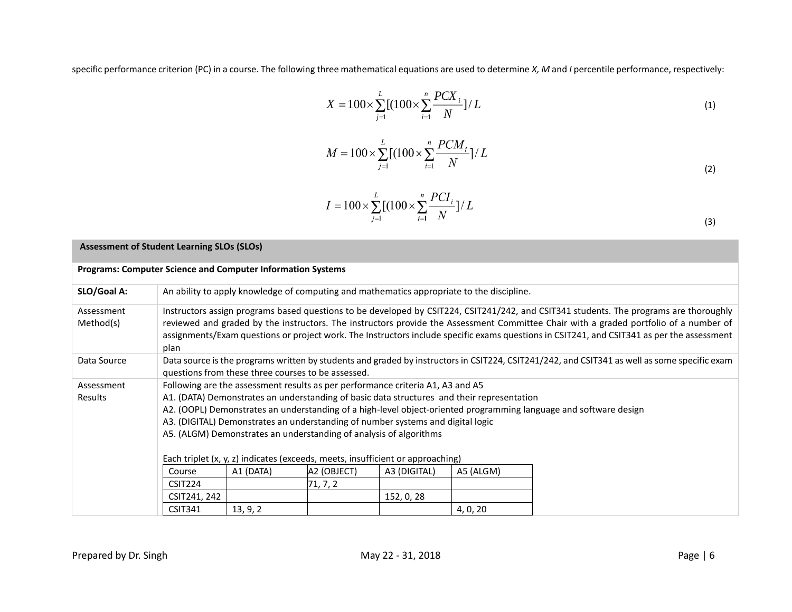specific performance criterion (PC) in a course. The following three mathematical equations are used to determine *X, M* and *I* percentile performance, respectively:

$$
X = 100 \times \sum_{j=1}^{L} [(100 \times \sum_{i=1}^{n} \frac{PCX_i}{N})^{1/L}]
$$
\n(1)

$$
M = 100 \times \sum_{j=1}^{L} \left[ (100 \times \sum_{i=1}^{n} \frac{PCM_i}{N}) / L \right]
$$
 (2)

$$
I = 100 \times \sum_{j=1}^{L} \left[ (100 \times \sum_{i=1}^{n} \frac{PCI_i}{N}) / L \right]
$$
 (3)

| <b>Assessment of Student Learning SLOs (SLOs)</b>                  |                                                                                                                                                                                                                                                                                                                                                                                                                                                                                                                                                                                                                                                                       |                                                                                                                                                                                                                                                                                                                                                                                                                               |          |            |          |                                                                                                                                              |  |  |  |  |
|--------------------------------------------------------------------|-----------------------------------------------------------------------------------------------------------------------------------------------------------------------------------------------------------------------------------------------------------------------------------------------------------------------------------------------------------------------------------------------------------------------------------------------------------------------------------------------------------------------------------------------------------------------------------------------------------------------------------------------------------------------|-------------------------------------------------------------------------------------------------------------------------------------------------------------------------------------------------------------------------------------------------------------------------------------------------------------------------------------------------------------------------------------------------------------------------------|----------|------------|----------|----------------------------------------------------------------------------------------------------------------------------------------------|--|--|--|--|
| <b>Programs: Computer Science and Computer Information Systems</b> |                                                                                                                                                                                                                                                                                                                                                                                                                                                                                                                                                                                                                                                                       |                                                                                                                                                                                                                                                                                                                                                                                                                               |          |            |          |                                                                                                                                              |  |  |  |  |
| SLO/Goal A:                                                        |                                                                                                                                                                                                                                                                                                                                                                                                                                                                                                                                                                                                                                                                       | An ability to apply knowledge of computing and mathematics appropriate to the discipline.                                                                                                                                                                                                                                                                                                                                     |          |            |          |                                                                                                                                              |  |  |  |  |
| Assessment<br>Method(s)                                            | plan                                                                                                                                                                                                                                                                                                                                                                                                                                                                                                                                                                                                                                                                  | Instructors assign programs based questions to be developed by CSIT224, CSIT241/242, and CSIT341 students. The programs are thoroughly<br>reviewed and graded by the instructors. The instructors provide the Assessment Committee Chair with a graded portfolio of a number of<br>assignments/Exam questions or project work. The Instructors include specific exams questions in CSIT241, and CSIT341 as per the assessment |          |            |          |                                                                                                                                              |  |  |  |  |
| Data Source                                                        |                                                                                                                                                                                                                                                                                                                                                                                                                                                                                                                                                                                                                                                                       |                                                                                                                                                                                                                                                                                                                                                                                                                               |          |            |          | Data source is the programs written by students and graded by instructors in CSIT224, CSIT241/242, and CSIT341 as well as some specific exam |  |  |  |  |
| Assessment<br>Results                                              | questions from these three courses to be assessed.<br>Following are the assessment results as per performance criteria A1, A3 and A5<br>A1. (DATA) Demonstrates an understanding of basic data structures and their representation<br>A2. (OOPL) Demonstrates an understanding of a high-level object-oriented programming language and software design<br>A3. (DIGITAL) Demonstrates an understanding of number systems and digital logic<br>A5. (ALGM) Demonstrates an understanding of analysis of algorithms<br>Each triplet (x, y, z) indicates (exceeds, meets, insufficient or approaching)<br>A2 (OBJECT)<br>Course<br>A1 (DATA)<br>A3 (DIGITAL)<br>A5 (ALGM) |                                                                                                                                                                                                                                                                                                                                                                                                                               |          |            |          |                                                                                                                                              |  |  |  |  |
|                                                                    | CSIT224                                                                                                                                                                                                                                                                                                                                                                                                                                                                                                                                                                                                                                                               |                                                                                                                                                                                                                                                                                                                                                                                                                               | 71, 7, 2 |            |          |                                                                                                                                              |  |  |  |  |
|                                                                    | CSIT241, 242                                                                                                                                                                                                                                                                                                                                                                                                                                                                                                                                                                                                                                                          |                                                                                                                                                                                                                                                                                                                                                                                                                               |          | 152, 0, 28 |          |                                                                                                                                              |  |  |  |  |
|                                                                    | <b>CSIT341</b>                                                                                                                                                                                                                                                                                                                                                                                                                                                                                                                                                                                                                                                        | 13, 9, 2                                                                                                                                                                                                                                                                                                                                                                                                                      |          |            | 4, 0, 20 |                                                                                                                                              |  |  |  |  |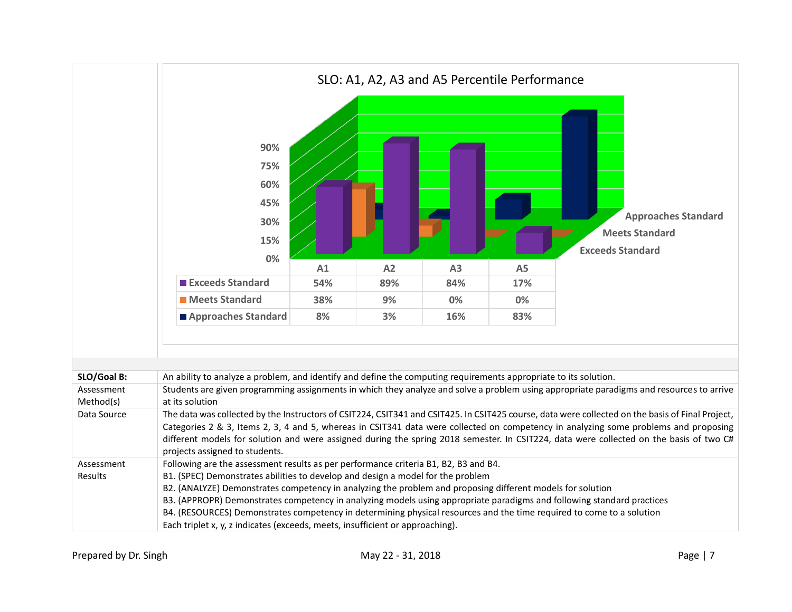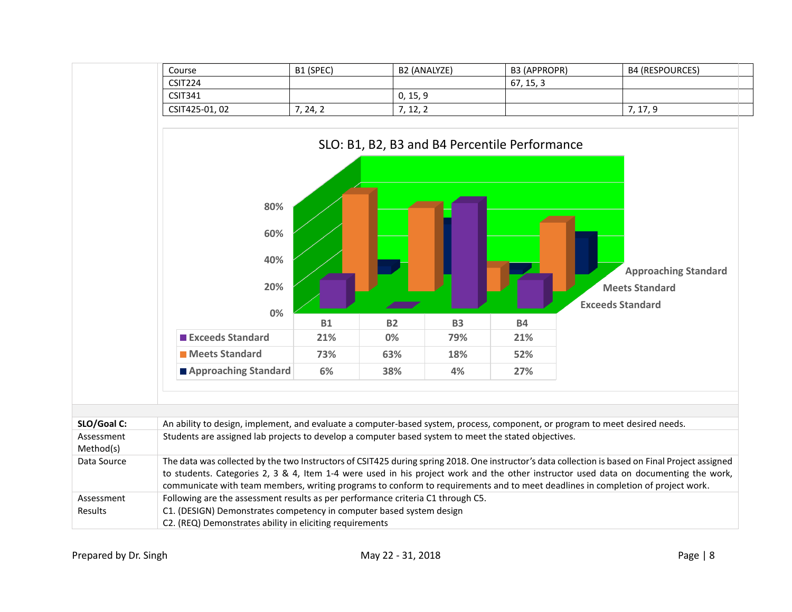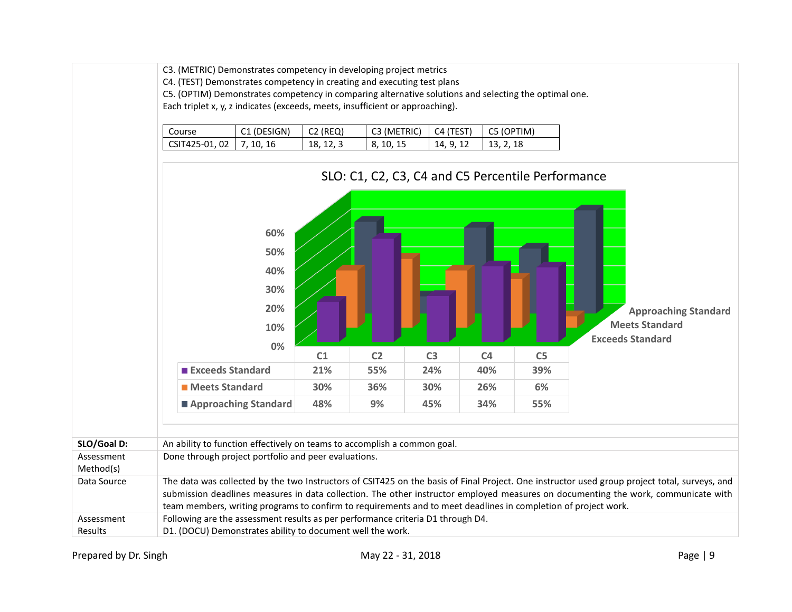|                         | C3. (METRIC) Demonstrates competency in developing project metrics<br>C4. (TEST) Demonstrates competency in creating and executing test plans<br>C5. (OPTIM) Demonstrates competency in comparing alternative solutions and selecting the optimal one.<br>Each triplet x, y, z indicates (exceeds, meets, insufficient or approaching).<br>Course<br>C1 (DESIGN)<br>$C2$ (REQ)<br>C3 (METRIC)<br>C4 (TEST)<br>C5 (OPTIM) |           |                                                   |                |                                  |                                                                                                                                                                                                                                                                                     |  |  |  |  |  |  |
|-------------------------|--------------------------------------------------------------------------------------------------------------------------------------------------------------------------------------------------------------------------------------------------------------------------------------------------------------------------------------------------------------------------------------------------------------------------|-----------|---------------------------------------------------|----------------|----------------------------------|-------------------------------------------------------------------------------------------------------------------------------------------------------------------------------------------------------------------------------------------------------------------------------------|--|--|--|--|--|--|
|                         |                                                                                                                                                                                                                                                                                                                                                                                                                          |           |                                                   |                |                                  |                                                                                                                                                                                                                                                                                     |  |  |  |  |  |  |
|                         | CSIT425-01, 02<br>7, 10, 16                                                                                                                                                                                                                                                                                                                                                                                              | 18, 12, 3 | 8, 10, 15                                         | 14, 9, 12      | 13, 2, 18                        |                                                                                                                                                                                                                                                                                     |  |  |  |  |  |  |
|                         |                                                                                                                                                                                                                                                                                                                                                                                                                          |           | SLO: C1, C2, C3, C4 and C5 Percentile Performance |                |                                  |                                                                                                                                                                                                                                                                                     |  |  |  |  |  |  |
|                         | 60%                                                                                                                                                                                                                                                                                                                                                                                                                      |           |                                                   |                |                                  |                                                                                                                                                                                                                                                                                     |  |  |  |  |  |  |
|                         | 50%                                                                                                                                                                                                                                                                                                                                                                                                                      |           |                                                   |                |                                  |                                                                                                                                                                                                                                                                                     |  |  |  |  |  |  |
|                         | 40%                                                                                                                                                                                                                                                                                                                                                                                                                      |           |                                                   |                |                                  |                                                                                                                                                                                                                                                                                     |  |  |  |  |  |  |
|                         | 30%                                                                                                                                                                                                                                                                                                                                                                                                                      |           |                                                   |                |                                  |                                                                                                                                                                                                                                                                                     |  |  |  |  |  |  |
|                         | 20%                                                                                                                                                                                                                                                                                                                                                                                                                      |           |                                                   |                |                                  | <b>Approaching Standard</b>                                                                                                                                                                                                                                                         |  |  |  |  |  |  |
|                         | 10%                                                                                                                                                                                                                                                                                                                                                                                                                      |           |                                                   |                |                                  | <b>Meets Standard</b>                                                                                                                                                                                                                                                               |  |  |  |  |  |  |
|                         | 0%                                                                                                                                                                                                                                                                                                                                                                                                                       |           |                                                   |                |                                  | <b>Exceeds Standard</b>                                                                                                                                                                                                                                                             |  |  |  |  |  |  |
|                         |                                                                                                                                                                                                                                                                                                                                                                                                                          | C1        | C <sub>2</sub>                                    | C <sub>3</sub> | C <sub>4</sub><br>C <sub>5</sub> |                                                                                                                                                                                                                                                                                     |  |  |  |  |  |  |
|                         | <b>Exceeds Standard</b>                                                                                                                                                                                                                                                                                                                                                                                                  | 21%       | 55%                                               | 24%            | 40%<br>39%                       |                                                                                                                                                                                                                                                                                     |  |  |  |  |  |  |
|                         | <b>Meets Standard</b>                                                                                                                                                                                                                                                                                                                                                                                                    | 30%       | 36%                                               | 30%            | 26%<br>6%                        |                                                                                                                                                                                                                                                                                     |  |  |  |  |  |  |
|                         | Approaching Standard                                                                                                                                                                                                                                                                                                                                                                                                     | 48%       | 9%                                                | 45%            | 55%<br>34%                       |                                                                                                                                                                                                                                                                                     |  |  |  |  |  |  |
|                         |                                                                                                                                                                                                                                                                                                                                                                                                                          |           |                                                   |                |                                  |                                                                                                                                                                                                                                                                                     |  |  |  |  |  |  |
| SLO/Goal D:             | An ability to function effectively on teams to accomplish a common goal.                                                                                                                                                                                                                                                                                                                                                 |           |                                                   |                |                                  |                                                                                                                                                                                                                                                                                     |  |  |  |  |  |  |
| Assessment<br>Method(s) | Done through project portfolio and peer evaluations.                                                                                                                                                                                                                                                                                                                                                                     |           |                                                   |                |                                  |                                                                                                                                                                                                                                                                                     |  |  |  |  |  |  |
| Data Source             | team members, writing programs to confirm to requirements and to meet deadlines in completion of project work.                                                                                                                                                                                                                                                                                                           |           |                                                   |                |                                  | The data was collected by the two Instructors of CSIT425 on the basis of Final Project. One instructor used group project total, surveys, and<br>submission deadlines measures in data collection. The other instructor employed measures on documenting the work, communicate with |  |  |  |  |  |  |
| Assessment<br>Results   | Following are the assessment results as per performance criteria D1 through D4.<br>D1. (DOCU) Demonstrates ability to document well the work.                                                                                                                                                                                                                                                                            |           |                                                   |                |                                  |                                                                                                                                                                                                                                                                                     |  |  |  |  |  |  |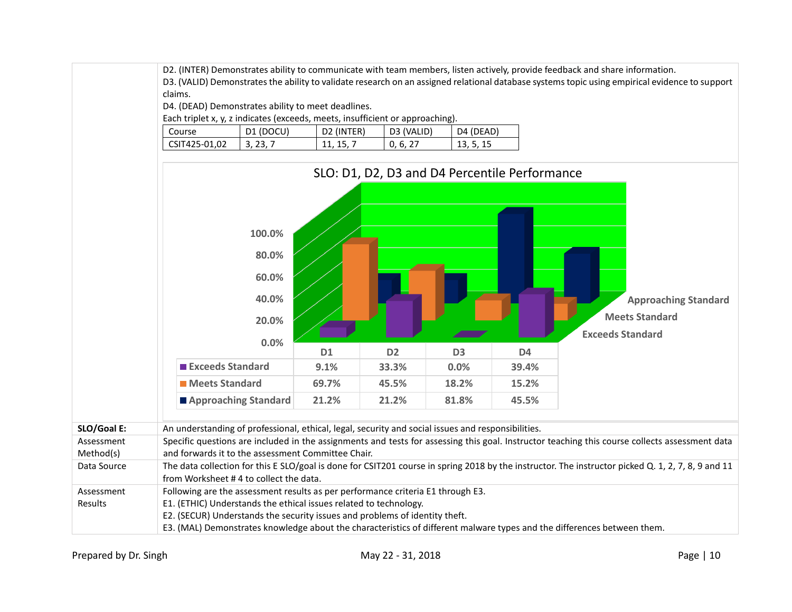D2. (INTER) Demonstrates ability to communicate with team members, listen actively, provide feedback and share information.

D3. (VALID) Demonstrates the ability to validate research on an assigned relational database systems topic using empirical evidence to support claims.

D4. (DEAD) Demonstrates ability to meet deadlines.

Each triplet x, y, z indicates (exceeds, meets, insufficient or approaching).

| Course        | (DOCU)<br>D1    | (INTER)<br>D2   | D3 (VALID)             | D4 (DEAD) |
|---------------|-----------------|-----------------|------------------------|-----------|
| CSIT425-01,02 | ノマ<br>. ت<br>J. | 11,<br><b>.</b> | 6.<br>U,<br>$\epsilon$ | 13, 5, 15 |

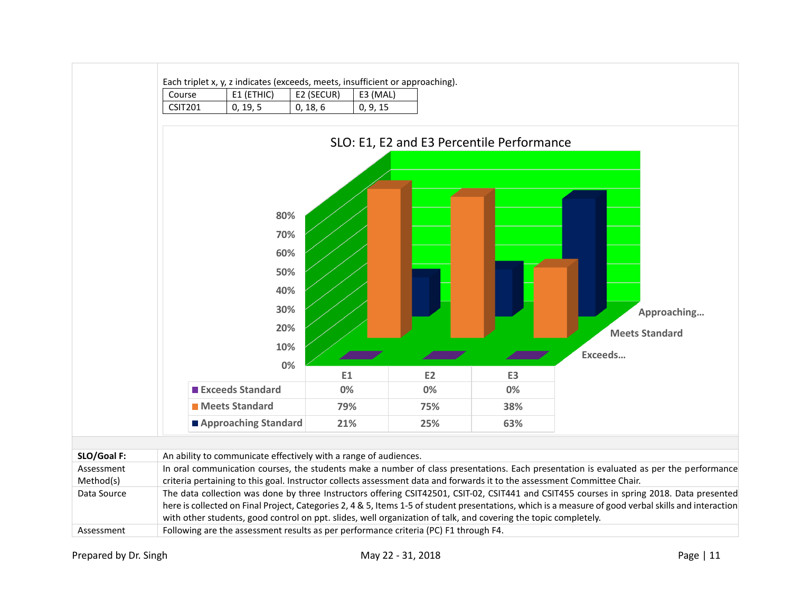

with other students, good control on ppt. slides, well organization of talk, and covering the topic completely.

Assessment Following are the assessment results as per performance criteria (PC) F1 through F4.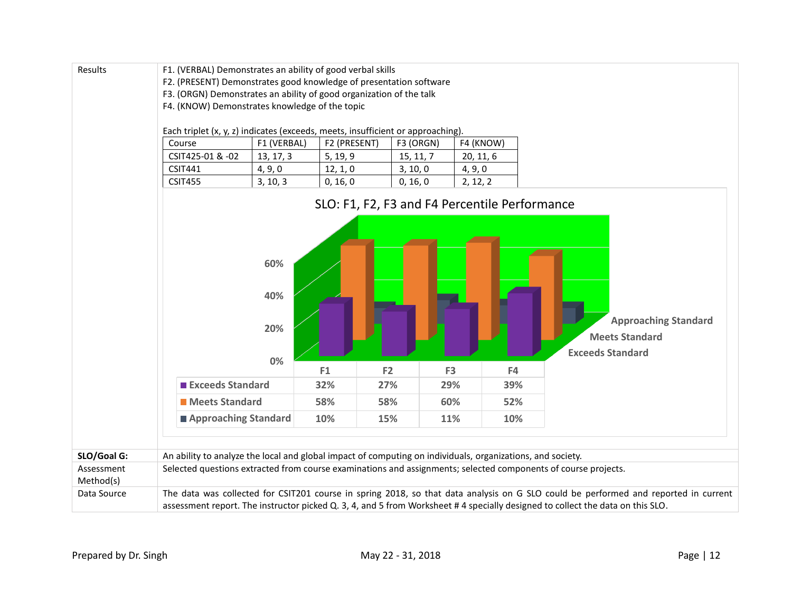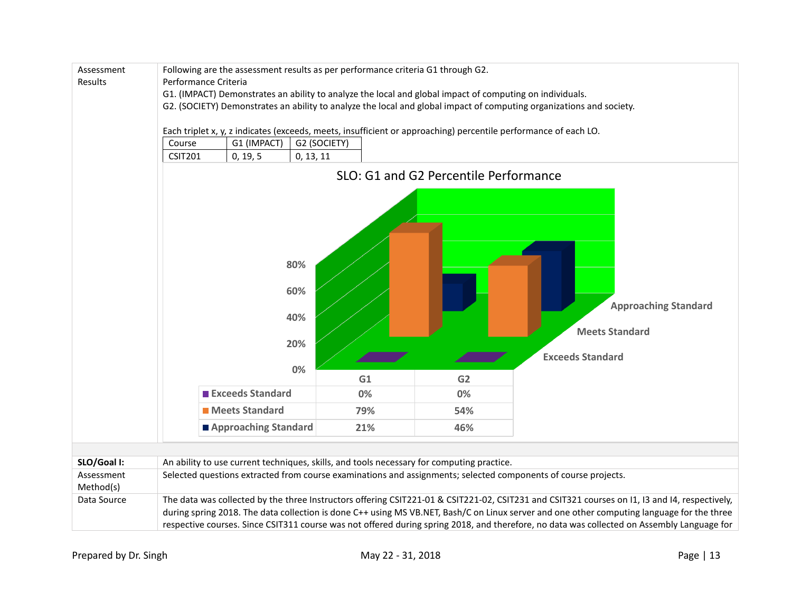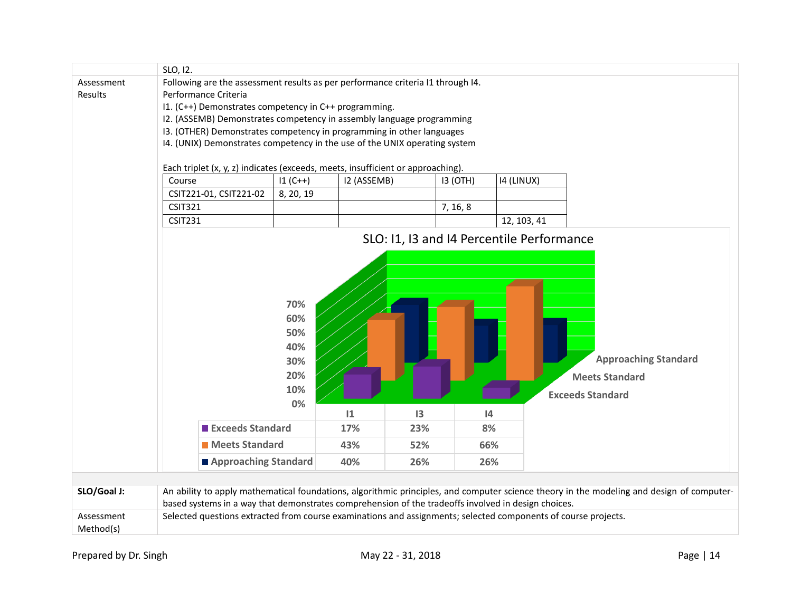|                         | SLO, 12.                                                                                                       |           |             |                        |          |                                           |                                                                                                                                           |  |  |  |  |  |
|-------------------------|----------------------------------------------------------------------------------------------------------------|-----------|-------------|------------------------|----------|-------------------------------------------|-------------------------------------------------------------------------------------------------------------------------------------------|--|--|--|--|--|
| Assessment              | Following are the assessment results as per performance criteria I1 through I4.<br>Performance Criteria        |           |             |                        |          |                                           |                                                                                                                                           |  |  |  |  |  |
| Results                 | I1. (C++) Demonstrates competency in C++ programming.                                                          |           |             |                        |          |                                           |                                                                                                                                           |  |  |  |  |  |
|                         |                                                                                                                |           |             |                        |          |                                           |                                                                                                                                           |  |  |  |  |  |
|                         | I2. (ASSEMB) Demonstrates competency in assembly language programming                                          |           |             |                        |          |                                           |                                                                                                                                           |  |  |  |  |  |
|                         | I3. (OTHER) Demonstrates competency in programming in other languages                                          |           |             |                        |          |                                           |                                                                                                                                           |  |  |  |  |  |
|                         | I4. (UNIX) Demonstrates competency in the use of the UNIX operating system                                     |           |             |                        |          |                                           |                                                                                                                                           |  |  |  |  |  |
|                         | Each triplet (x, y, z) indicates (exceeds, meets, insufficient or approaching).                                |           |             |                        |          |                                           |                                                                                                                                           |  |  |  |  |  |
|                         |                                                                                                                |           |             |                        |          |                                           |                                                                                                                                           |  |  |  |  |  |
|                         | Course                                                                                                         | $11(C++)$ | I2 (ASSEMB) |                        | 13 (OTH) | 14 (LINUX)                                |                                                                                                                                           |  |  |  |  |  |
|                         | CSIT221-01, CSIT221-02                                                                                         | 8, 20, 19 |             |                        |          |                                           |                                                                                                                                           |  |  |  |  |  |
|                         | <b>CSIT321</b>                                                                                                 |           |             |                        | 7, 16, 8 |                                           |                                                                                                                                           |  |  |  |  |  |
|                         | <b>CSIT231</b>                                                                                                 |           |             |                        |          | 12, 103, 41                               |                                                                                                                                           |  |  |  |  |  |
|                         |                                                                                                                |           |             |                        |          | SLO: I1, I3 and I4 Percentile Performance |                                                                                                                                           |  |  |  |  |  |
|                         |                                                                                                                |           |             |                        |          |                                           |                                                                                                                                           |  |  |  |  |  |
|                         |                                                                                                                |           |             |                        |          |                                           |                                                                                                                                           |  |  |  |  |  |
|                         |                                                                                                                |           |             |                        |          |                                           |                                                                                                                                           |  |  |  |  |  |
|                         |                                                                                                                |           |             |                        |          |                                           |                                                                                                                                           |  |  |  |  |  |
|                         | 70%<br>60%                                                                                                     |           |             |                        |          |                                           |                                                                                                                                           |  |  |  |  |  |
|                         |                                                                                                                |           |             |                        |          |                                           |                                                                                                                                           |  |  |  |  |  |
|                         |                                                                                                                | 50%       |             |                        |          |                                           |                                                                                                                                           |  |  |  |  |  |
|                         |                                                                                                                | 40%       |             |                        |          |                                           |                                                                                                                                           |  |  |  |  |  |
|                         |                                                                                                                | 30%       |             |                        |          |                                           | <b>Approaching Standard</b>                                                                                                               |  |  |  |  |  |
|                         |                                                                                                                |           |             |                        |          |                                           |                                                                                                                                           |  |  |  |  |  |
|                         |                                                                                                                | 20%       |             |                        |          |                                           | <b>Meets Standard</b>                                                                                                                     |  |  |  |  |  |
|                         |                                                                                                                | 10%       |             |                        |          |                                           | <b>Exceeds Standard</b>                                                                                                                   |  |  |  |  |  |
|                         |                                                                                                                | 0%        |             |                        |          |                                           |                                                                                                                                           |  |  |  |  |  |
|                         | <b>Exceeds Standard</b>                                                                                        |           | 1<br>17%    | $\overline{13}$<br>23% | 4<br>8%  |                                           |                                                                                                                                           |  |  |  |  |  |
|                         |                                                                                                                |           |             |                        |          |                                           |                                                                                                                                           |  |  |  |  |  |
|                         | <b>Meets Standard</b>                                                                                          |           | 43%         | 52%                    | 66%      |                                           |                                                                                                                                           |  |  |  |  |  |
|                         | Approaching Standard                                                                                           |           | 40%         | 26%                    | 26%      |                                           |                                                                                                                                           |  |  |  |  |  |
|                         |                                                                                                                |           |             |                        |          |                                           |                                                                                                                                           |  |  |  |  |  |
| SLO/Goal J:             | based systems in a way that demonstrates comprehension of the tradeoffs involved in design choices.            |           |             |                        |          |                                           | An ability to apply mathematical foundations, algorithmic principles, and computer science theory in the modeling and design of computer- |  |  |  |  |  |
| Assessment<br>Method(s) | Selected questions extracted from course examinations and assignments; selected components of course projects. |           |             |                        |          |                                           |                                                                                                                                           |  |  |  |  |  |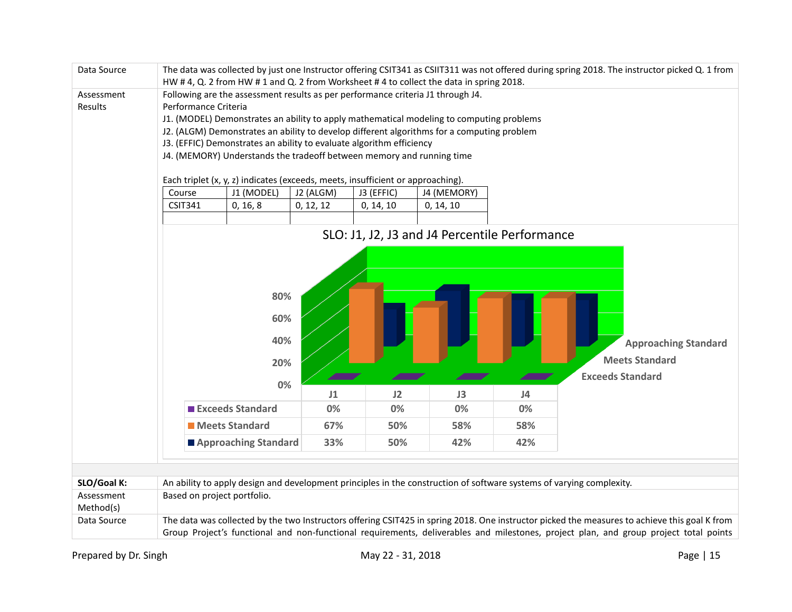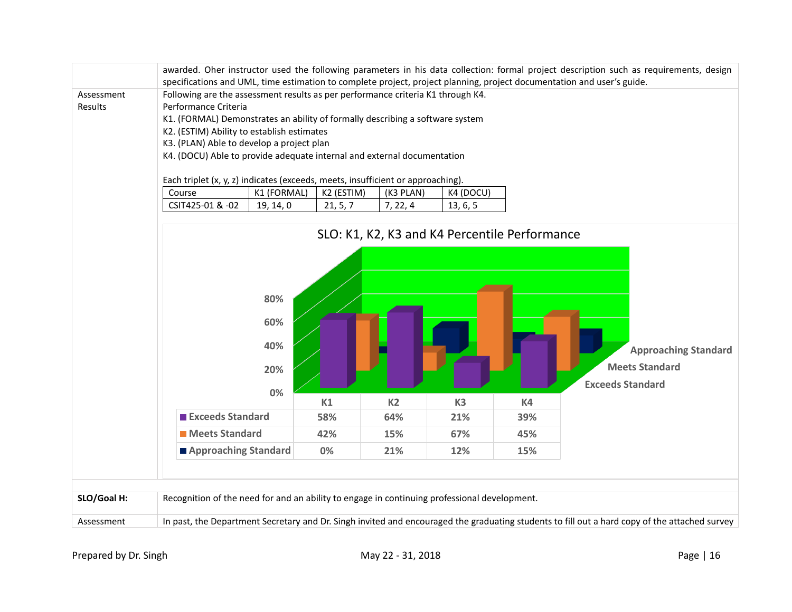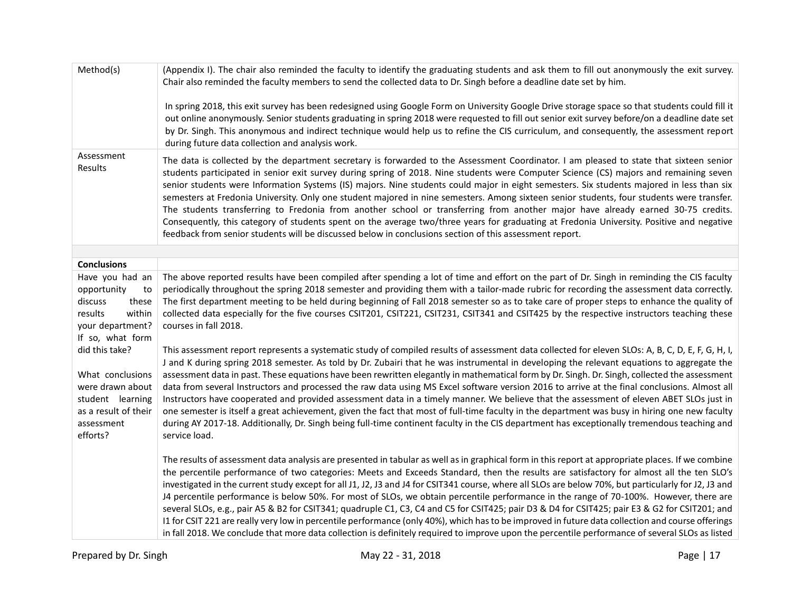| Method(s)                                                                                                                    | (Appendix I). The chair also reminded the faculty to identify the graduating students and ask them to fill out anonymously the exit survey.<br>Chair also reminded the faculty members to send the collected data to Dr. Singh before a deadline date set by him.                                                                                                                                                                                                                                                                                                                                                                                                                                                                                                                                                                                                                                                                                                                                                                                              |
|------------------------------------------------------------------------------------------------------------------------------|----------------------------------------------------------------------------------------------------------------------------------------------------------------------------------------------------------------------------------------------------------------------------------------------------------------------------------------------------------------------------------------------------------------------------------------------------------------------------------------------------------------------------------------------------------------------------------------------------------------------------------------------------------------------------------------------------------------------------------------------------------------------------------------------------------------------------------------------------------------------------------------------------------------------------------------------------------------------------------------------------------------------------------------------------------------|
|                                                                                                                              | In spring 2018, this exit survey has been redesigned using Google Form on University Google Drive storage space so that students could fill it<br>out online anonymously. Senior students graduating in spring 2018 were requested to fill out senior exit survey before/on a deadline date set<br>by Dr. Singh. This anonymous and indirect technique would help us to refine the CIS curriculum, and consequently, the assessment report<br>during future data collection and analysis work.                                                                                                                                                                                                                                                                                                                                                                                                                                                                                                                                                                 |
| Assessment<br>Results                                                                                                        | The data is collected by the department secretary is forwarded to the Assessment Coordinator. I am pleased to state that sixteen senior<br>students participated in senior exit survey during spring of 2018. Nine students were Computer Science (CS) majors and remaining seven<br>senior students were Information Systems (IS) majors. Nine students could major in eight semesters. Six students majored in less than six<br>semesters at Fredonia University. Only one student majored in nine semesters. Among sixteen senior students, four students were transfer.<br>The students transferring to Fredonia from another school or transferring from another major have already earned 30-75 credits.<br>Consequently, this category of students spent on the average two/three years for graduating at Fredonia University. Positive and negative<br>feedback from senior students will be discussed below in conclusions section of this assessment report.                                                                                         |
| <b>Conclusions</b>                                                                                                           |                                                                                                                                                                                                                                                                                                                                                                                                                                                                                                                                                                                                                                                                                                                                                                                                                                                                                                                                                                                                                                                                |
| Have you had an                                                                                                              | The above reported results have been compiled after spending a lot of time and effort on the part of Dr. Singh in reminding the CIS faculty                                                                                                                                                                                                                                                                                                                                                                                                                                                                                                                                                                                                                                                                                                                                                                                                                                                                                                                    |
| opportunity<br>to<br>discuss<br>these<br>within<br>results<br>your department?<br>If so, what form                           | periodically throughout the spring 2018 semester and providing them with a tailor-made rubric for recording the assessment data correctly.<br>The first department meeting to be held during beginning of Fall 2018 semester so as to take care of proper steps to enhance the quality of<br>collected data especially for the five courses CSIT201, CSIT221, CSIT231, CSIT341 and CSIT425 by the respective instructors teaching these<br>courses in fall 2018.                                                                                                                                                                                                                                                                                                                                                                                                                                                                                                                                                                                               |
| did this take?<br>What conclusions<br>were drawn about<br>student learning<br>as a result of their<br>assessment<br>efforts? | This assessment report represents a systematic study of compiled results of assessment data collected for eleven SLOs: A, B, C, D, E, F, G, H, I,<br>J and K during spring 2018 semester. As told by Dr. Zubairi that he was instrumental in developing the relevant equations to aggregate the<br>assessment data in past. These equations have been rewritten elegantly in mathematical form by Dr. Singh. Dr. Singh, collected the assessment<br>data from several Instructors and processed the raw data using MS Excel software version 2016 to arrive at the final conclusions. Almost all<br>Instructors have cooperated and provided assessment data in a timely manner. We believe that the assessment of eleven ABET SLOs just in<br>one semester is itself a great achievement, given the fact that most of full-time faculty in the department was busy in hiring one new faculty<br>during AY 2017-18. Additionally, Dr. Singh being full-time continent faculty in the CIS department has exceptionally tremendous teaching and<br>service load. |
|                                                                                                                              | The results of assessment data analysis are presented in tabular as well as in graphical form in this report at appropriate places. If we combine<br>the percentile performance of two categories: Meets and Exceeds Standard, then the results are satisfactory for almost all the ten SLO's<br>investigated in the current study except for all J1, J2, J3 and J4 for CSIT341 course, where all SLOs are below 70%, but particularly for J2, J3 and<br>J4 percentile performance is below 50%. For most of SLOs, we obtain percentile performance in the range of 70-100%. However, there are<br>several SLOs, e.g., pair A5 & B2 for CSIT341; quadruple C1, C3, C4 and C5 for CSIT425; pair D3 & D4 for CSIT425; pair E3 & G2 for CSIT201; and<br>I1 for CSIT 221 are really very low in percentile performance (only 40%), which has to be improved in future data collection and course offerings<br>in fall 2018. We conclude that more data collection is definitely required to improve upon the percentile performance of several SLOs as listed      |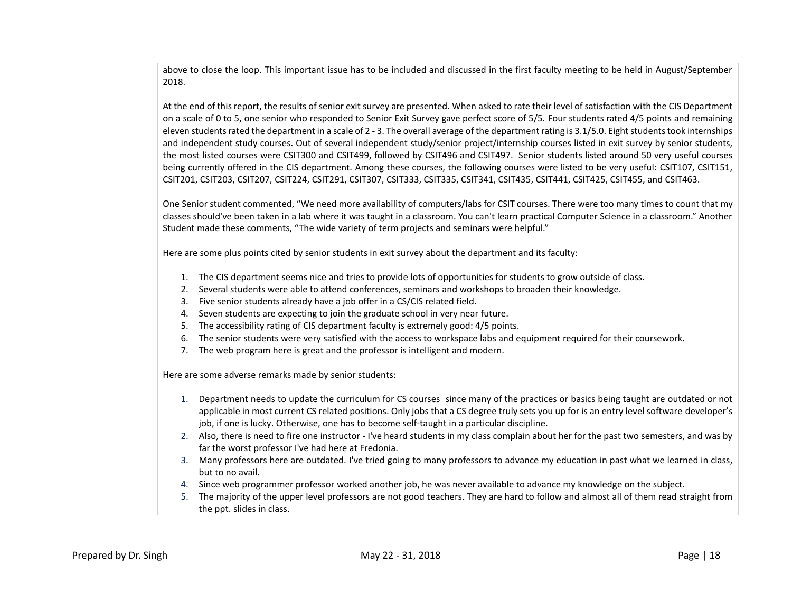above to close the loop. This important issue has to be included and discussed in the first faculty meeting to be held in August/September 2018.

At the end of this report, the results of senior exit survey are presented. When asked to rate their level of satisfaction with the CIS Department on a scale of 0 to 5, one senior who responded to Senior Exit Survey gave perfect score of 5/5. Four students rated 4/5 points and remaining eleven students rated the department in a scale of 2 - 3. The overall average of the department rating is 3.1/5.0. Eight students took internships and independent study courses. Out of several independent study/senior project/internship courses listed in exit survey by senior students, the most listed courses were CSIT300 and CSIT499, followed by CSIT496 and CSIT497. Senior students listed around 50 very useful courses being currently offered in the CIS department. Among these courses, the following courses were listed to be very useful: CSIT107, CSIT151, CSIT201, CSIT203, CSIT207, CSIT224, CSIT291, CSIT307, CSIT333, CSIT335, CSIT341, CSIT435, CSIT441, CSIT425, CSIT455, and CSIT463.

One Senior student commented, "We need more availability of computers/labs for CSIT courses. There were too many times to count that my classes should've been taken in a lab where it was taught in a classroom. You can't learn practical Computer Science in a classroom." Another Student made these comments, "The wide variety of term projects and seminars were helpful."

Here are some plus points cited by senior students in exit survey about the department and its faculty:

- 1. The CIS department seems nice and tries to provide lots of opportunities for students to grow outside of class.
- 2. Several students were able to attend conferences, seminars and workshops to broaden their knowledge.
- 3. Five senior students already have a job offer in a CS/CIS related field.
- 4. Seven students are expecting to join the graduate school in very near future.
- 5. The accessibility rating of CIS department faculty is extremely good: 4/5 points.
- 6. The senior students were very satisfied with the access to workspace labs and equipment required for their coursework.
- 7. The web program here is great and the professor is intelligent and modern.

Here are some adverse remarks made by senior students:

- 1. Department needs to update the curriculum for CS courses since many of the practices or basics being taught are outdated or not applicable in most current CS related positions. Only jobs that a CS degree truly sets you up for is an entry level software developer's job, if one is lucky. Otherwise, one has to become self-taught in a particular discipline.
- 2. Also, there is need to fire one instructor I've heard students in my class complain about her for the past two semesters, and was by far the worst professor I've had here at Fredonia.
- 3. Many professors here are outdated. I've tried going to many professors to advance my education in past what we learned in class, but to no avail.
- 4. Since web programmer professor worked another job, he was never available to advance my knowledge on the subject.
- 5. The majority of the upper level professors are not good teachers. They are hard to follow and almost all of them read straight from the ppt. slides in class.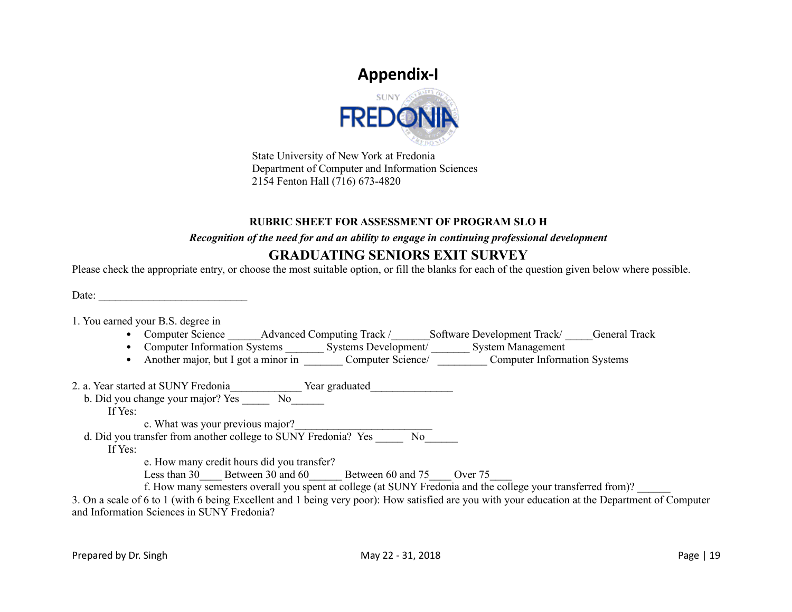# **Appendix-I**



State University of New York at Fredonia Department of Computer and Information Sciences 2154 Fenton Hall (716) 673-4820

#### **RUBRIC SHEET FOR ASSESSMENT OF PROGRAM SLO H**

#### *Recognition of the need for and an ability to engage in continuing professional development*

### **GRADUATING SENIORS EXIT SURVEY**

Please check the appropriate entry, or choose the most suitable option, or fill the blanks for each of the question given below where possible.

Date:

1. You earned your B.S. degree in

- Computer Science Advanced Computing Track / Software Development Track / General Track
- Computer Information Systems **Existems Development** System Management
	- Another major, but I got a minor in Computer Science/ Computer Information Systems

2. a. Year started at SUNY Fredonia entity of Year graduated

b. Did you change your major? Yes \_\_\_\_\_ No\_\_\_\_\_\_

If Yes:

c. What was your previous major?

d. Did you transfer from another college to  $SUNY$  Fredonia? Yes  $\overline{N}$ 

If Yes:

e. How many credit hours did you transfer?

Less than 30 Less than 30 and 60 Between 60 and 75 Over 75

f. How many semesters overall you spent at college (at SUNY Fredonia and the college your transferred from)?

3. On a scale of 6 to 1 (with 6 being Excellent and 1 being very poor): How satisfied are you with your education at the Department of Computer and Information Sciences in SUNY Fredonia?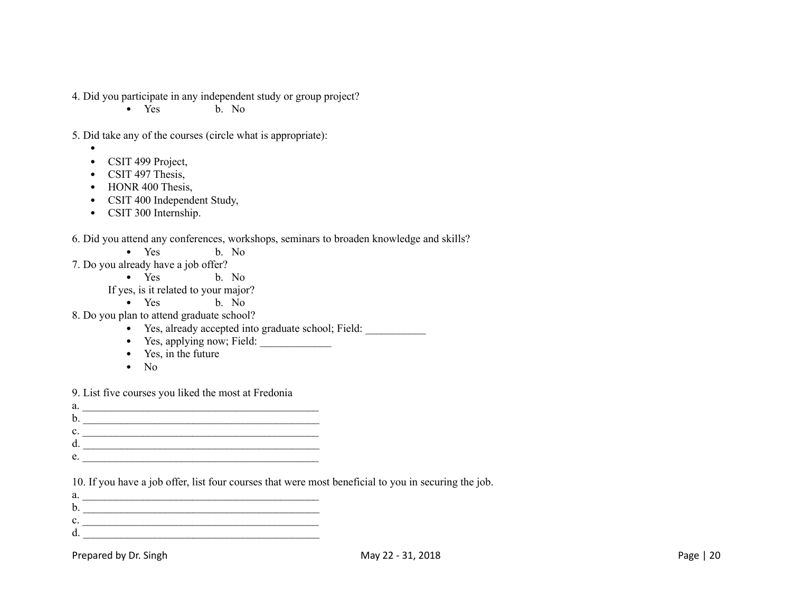4. Did you participate in any independent study or group project?

• Yes b. No

5. Did take any of the courses (circle what is appropriate):

- •
- CSIT 499 Project, • CSIT 497 Thesis,
- HONR 400 Thesis,
- CSIT 400 Independent Study,
- CSIT 300 Internship.

#### 6. Did you attend any conferences, workshops, seminars to broaden knowledge and skills?

- Yes b. No
- 7. Do you already have a job offer?
	- Yes b. No

If yes, is it related to your major?

- Yes b. No
- 8. Do you plan to attend graduate school?
	- Yes, already accepted into graduate school; Field:
	- Yes, applying now; Field:
	- Yes, in the future
	- No

9. List five courses you liked the most at Fredonia

- a. \_\_\_\_\_\_\_\_\_\_\_\_\_\_\_\_\_\_\_\_\_\_\_\_\_\_\_\_\_\_\_\_\_\_\_\_\_\_\_\_\_\_\_ b. \_\_\_\_\_\_\_\_\_\_\_\_\_\_\_\_\_\_\_\_\_\_\_\_\_\_\_\_\_\_\_\_\_\_\_\_\_\_\_\_\_\_\_
- c. \_\_\_\_\_\_\_\_\_\_\_\_\_\_\_\_\_\_\_\_\_\_\_\_\_\_\_\_\_\_\_\_\_\_\_\_\_\_\_\_\_\_\_
- d. \_\_\_\_\_\_\_\_\_\_\_\_\_\_\_\_\_\_\_\_\_\_\_\_\_\_\_\_\_\_\_\_\_\_\_\_\_\_\_\_\_\_\_
- $e.$

10. If you have a job offer, list four courses that were most beneficial to you in securing the job.

a. \_\_\_\_\_\_\_\_\_\_\_\_\_\_\_\_\_\_\_\_\_\_\_\_\_\_\_\_\_\_\_\_\_\_\_\_\_\_\_\_\_\_\_ b. \_\_\_\_\_\_\_\_\_\_\_\_\_\_\_\_\_\_\_\_\_\_\_\_\_\_\_\_\_\_\_\_\_\_\_\_\_\_\_\_\_\_\_ c. \_\_\_\_\_\_\_\_\_\_\_\_\_\_\_\_\_\_\_\_\_\_\_\_\_\_\_\_\_\_\_\_\_\_\_\_\_\_\_\_\_\_\_  $d.$ 

Prepared by Dr. Singh May 20 - 31, 2018 May 22 - 31, 2018